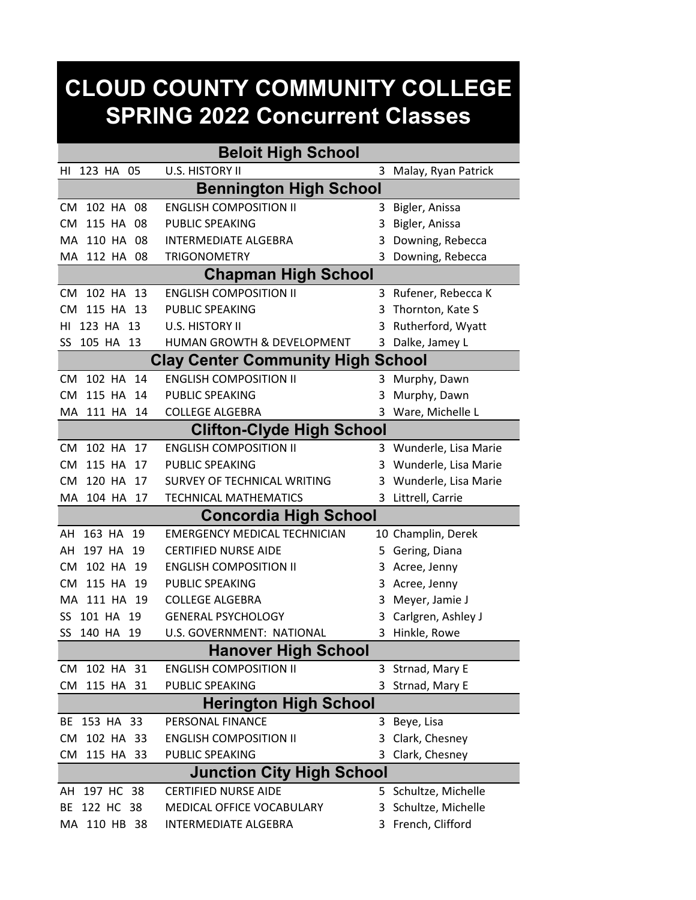## **CLOUD COUNTY COMMUNITY COLLEGE SPRING 2022 Concurrent Classes**

| <b>Beloit High School</b>                |              |     |                                     |   |                        |  |  |  |  |
|------------------------------------------|--------------|-----|-------------------------------------|---|------------------------|--|--|--|--|
| HI                                       | 123 HA 05    |     | U.S. HISTORY II                     | 3 | Malay, Ryan Patrick    |  |  |  |  |
| <b>Bennington High School</b>            |              |     |                                     |   |                        |  |  |  |  |
| <b>CM</b>                                | 102 HA 08    |     | <b>ENGLISH COMPOSITION II</b>       | 3 | Bigler, Anissa         |  |  |  |  |
| <b>CM</b>                                | 115 HA 08    |     | PUBLIC SPEAKING                     | 3 | Bigler, Anissa         |  |  |  |  |
| MA.                                      | 110 HA 08    |     | <b>INTERMEDIATE ALGEBRA</b>         | 3 | Downing, Rebecca       |  |  |  |  |
| MA                                       | 112 HA       | 08  | <b>TRIGONOMETRY</b>                 | 3 | Downing, Rebecca       |  |  |  |  |
|                                          |              |     | <b>Chapman High School</b>          |   |                        |  |  |  |  |
| <b>CM</b>                                | 102 HA 13    |     | <b>ENGLISH COMPOSITION II</b>       |   | 3 Rufener, Rebecca K   |  |  |  |  |
| <b>CM</b>                                | 115 HA 13    |     | PUBLIC SPEAKING                     | 3 | Thornton, Kate S       |  |  |  |  |
| ΗI                                       | 123 HA 13    |     | U.S. HISTORY II                     | 3 | Rutherford, Wyatt      |  |  |  |  |
| SS                                       | 105 HA 13    |     | HUMAN GROWTH & DEVELOPMENT          | 3 | Dalke, Jamey L         |  |  |  |  |
| <b>Clay Center Community High School</b> |              |     |                                     |   |                        |  |  |  |  |
| <b>CM</b>                                | 102 HA       | 14  | <b>ENGLISH COMPOSITION II</b>       | 3 | Murphy, Dawn           |  |  |  |  |
| <b>CM</b>                                | 115 HA       | -14 | PUBLIC SPEAKING                     | 3 | Murphy, Dawn           |  |  |  |  |
|                                          | MA 111 HA    | 14  | <b>COLLEGE ALGEBRA</b>              | 3 | Ware, Michelle L       |  |  |  |  |
| <b>Clifton-Clyde High School</b>         |              |     |                                     |   |                        |  |  |  |  |
| <b>CM</b>                                | 102 HA 17    |     | <b>ENGLISH COMPOSITION II</b>       |   | 3 Wunderle, Lisa Marie |  |  |  |  |
| <b>CM</b>                                | 115 HA       | 17  | PUBLIC SPEAKING                     | 3 | Wunderle, Lisa Marie   |  |  |  |  |
| <b>CM</b>                                | 120 HA       | 17  | SURVEY OF TECHNICAL WRITING         | 3 | Wunderle, Lisa Marie   |  |  |  |  |
| MA.                                      | 104 HA       | 17  | <b>TECHNICAL MATHEMATICS</b>        | 3 | Littrell, Carrie       |  |  |  |  |
|                                          |              |     | <b>Concordia High School</b>        |   |                        |  |  |  |  |
| ΑH                                       | 163 HA 19    |     | <b>EMERGENCY MEDICAL TECHNICIAN</b> |   | 10 Champlin, Derek     |  |  |  |  |
| AH                                       | 197 HA       | 19  | <b>CERTIFIED NURSE AIDE</b>         | 5 | Gering, Diana          |  |  |  |  |
| <b>CM</b>                                | 102 HA       | -19 | <b>ENGLISH COMPOSITION II</b>       | 3 | Acree, Jenny           |  |  |  |  |
| <b>CM</b>                                | 115 HA       | 19  | PUBLIC SPEAKING                     | 3 | Acree, Jenny           |  |  |  |  |
|                                          | MA 111 HA 19 |     | <b>COLLEGE ALGEBRA</b>              | 3 | Meyer, Jamie J         |  |  |  |  |
| SS                                       | 101 HA 19    |     | <b>GENERAL PSYCHOLOGY</b>           | 3 | Carlgren, Ashley J     |  |  |  |  |
| SS                                       | 140 HA       | 19  | U.S. GOVERNMENT: NATIONAL           | 3 | Hinkle, Rowe           |  |  |  |  |
| <b>Hanover High School</b>               |              |     |                                     |   |                        |  |  |  |  |
| CM                                       | 102 HA 31    |     | <b>ENGLISH COMPOSITION II</b>       |   | 3 Strnad, Mary E       |  |  |  |  |
| CM                                       | 115 HA 31    |     | <b>PUBLIC SPEAKING</b>              | 3 | Strnad, Mary E         |  |  |  |  |
| <b>Herington High School</b>             |              |     |                                     |   |                        |  |  |  |  |
| BE                                       | 153 HA 33    |     | PERSONAL FINANCE                    |   | 3 Beye, Lisa           |  |  |  |  |
| CM                                       | 102 HA 33    |     | <b>ENGLISH COMPOSITION II</b>       | 3 | Clark, Chesney         |  |  |  |  |
| <b>CM</b>                                | 115 HA 33    |     | PUBLIC SPEAKING                     | 3 | Clark, Chesney         |  |  |  |  |
| <b>Junction City High School</b>         |              |     |                                     |   |                        |  |  |  |  |
| AH                                       | 197 HC 38    |     | <b>CERTIFIED NURSE AIDE</b>         |   | 5 Schultze, Michelle   |  |  |  |  |
| BE                                       | 122 HC 38    |     | MEDICAL OFFICE VOCABULARY           | 3 | Schultze, Michelle     |  |  |  |  |
|                                          | MA 110 HB 38 |     | <b>INTERMEDIATE ALGEBRA</b>         |   | 3 French, Clifford     |  |  |  |  |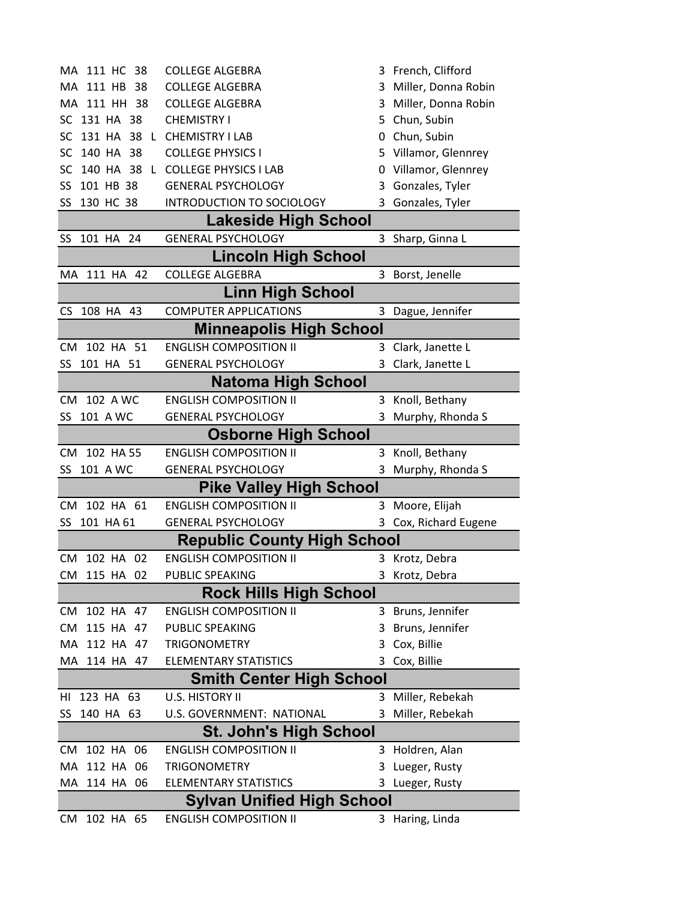| MA 111 HC<br>38                   | <b>COLLEGE ALGEBRA</b>             |    | 3 French, Clifford    |  |  |  |  |  |  |
|-----------------------------------|------------------------------------|----|-----------------------|--|--|--|--|--|--|
| 111 HB 38<br>MA                   | <b>COLLEGE ALGEBRA</b>             | 3  | Miller, Donna Robin   |  |  |  |  |  |  |
| MA 111 HH 38                      | <b>COLLEGE ALGEBRA</b>             | 3  | Miller, Donna Robin   |  |  |  |  |  |  |
| SC 131 HA 38                      | <b>CHEMISTRY I</b>                 | 5  | Chun, Subin           |  |  |  |  |  |  |
| SC                                | 131 HA 38 L CHEMISTRY I LAB        | 0  | Chun, Subin           |  |  |  |  |  |  |
| SC 140 HA 38                      | <b>COLLEGE PHYSICS I</b>           | 5  | Villamor, Glennrey    |  |  |  |  |  |  |
| 140 HA 38<br>SC.<br>L             | <b>COLLEGE PHYSICS I LAB</b>       | 0  | Villamor, Glennrey    |  |  |  |  |  |  |
| 101 HB 38<br>SS                   | <b>GENERAL PSYCHOLOGY</b>          | 3  | Gonzales, Tyler       |  |  |  |  |  |  |
| SS 130 HC 38                      | <b>INTRODUCTION TO SOCIOLOGY</b>   | 3  | Gonzales, Tyler       |  |  |  |  |  |  |
| Lakeside High School              |                                    |    |                       |  |  |  |  |  |  |
| 101 HA 24<br>SS                   | <b>GENERAL PSYCHOLOGY</b>          |    | 3 Sharp, Ginna L      |  |  |  |  |  |  |
| <b>Lincoln High School</b>        |                                    |    |                       |  |  |  |  |  |  |
| 111 HA 42<br>МA                   | <b>COLLEGE ALGEBRA</b>             |    | 3 Borst, Jenelle      |  |  |  |  |  |  |
|                                   | <b>Linn High School</b>            |    |                       |  |  |  |  |  |  |
| 108 HA 43<br>CS.                  | <b>COMPUTER APPLICATIONS</b>       |    | 3 Dague, Jennifer     |  |  |  |  |  |  |
|                                   | <b>Minneapolis High School</b>     |    |                       |  |  |  |  |  |  |
| CM 102 HA 51                      | <b>ENGLISH COMPOSITION II</b>      | 3  | Clark, Janette L      |  |  |  |  |  |  |
| 101 HA 51<br>SS                   | <b>GENERAL PSYCHOLOGY</b>          | 3  | Clark, Janette L      |  |  |  |  |  |  |
| <b>Natoma High School</b>         |                                    |    |                       |  |  |  |  |  |  |
| 102 A WC<br>CM.                   | <b>ENGLISH COMPOSITION II</b>      |    | 3 Knoll, Bethany      |  |  |  |  |  |  |
| SS<br>101 A WC                    | <b>GENERAL PSYCHOLOGY</b>          | 3  | Murphy, Rhonda S      |  |  |  |  |  |  |
|                                   | <b>Osborne High School</b>         |    |                       |  |  |  |  |  |  |
| 102 HA 55<br>CM.                  | <b>ENGLISH COMPOSITION II</b>      | 3  | Knoll, Bethany        |  |  |  |  |  |  |
| 101 A WC<br>SS                    | <b>GENERAL PSYCHOLOGY</b>          | 3  | Murphy, Rhonda S      |  |  |  |  |  |  |
|                                   | <b>Pike Valley High School</b>     |    |                       |  |  |  |  |  |  |
| CM 102 HA 61                      | <b>ENGLISH COMPOSITION II</b>      | 3  | Moore, Elijah         |  |  |  |  |  |  |
| SS 101 HA 61                      | <b>GENERAL PSYCHOLOGY</b>          |    | 3 Cox, Richard Eugene |  |  |  |  |  |  |
|                                   | <b>Republic County High School</b> |    |                       |  |  |  |  |  |  |
| 102 HA 02<br>CM                   | <b>ENGLISH COMPOSITION II</b>      |    | 3 Krotz, Debra        |  |  |  |  |  |  |
| CM 115 HA 02                      | PUBLIC SPEAKING                    |    | 3 Krotz, Debra        |  |  |  |  |  |  |
|                                   | <b>Rock Hills High School</b>      |    |                       |  |  |  |  |  |  |
| 102 HA 47<br>CM                   | <b>ENGLISH COMPOSITION II</b>      |    | 3 Bruns, Jennifer     |  |  |  |  |  |  |
| 115 HA 47<br>CM                   | PUBLIC SPEAKING                    | 3  | Bruns, Jennifer       |  |  |  |  |  |  |
| 112 HA 47<br>MA.                  | <b>TRIGONOMETRY</b>                | 3  | Cox, Billie           |  |  |  |  |  |  |
| MA<br>114 HA 47                   | <b>ELEMENTARY STATISTICS</b>       | 3  | Cox, Billie           |  |  |  |  |  |  |
| <b>Smith Center High School</b>   |                                    |    |                       |  |  |  |  |  |  |
| 123 HA 63<br>HI                   | U.S. HISTORY II                    |    | 3 Miller, Rebekah     |  |  |  |  |  |  |
| SS 140 HA 63                      | U.S. GOVERNMENT: NATIONAL          |    | Miller, Rebekah       |  |  |  |  |  |  |
| <b>St. John's High School</b>     |                                    |    |                       |  |  |  |  |  |  |
| 102 HA 06<br>CM.                  | <b>ENGLISH COMPOSITION II</b>      |    | 3 Holdren, Alan       |  |  |  |  |  |  |
| 112 HA 06<br>MA.                  | <b>TRIGONOMETRY</b>                | 3. | Lueger, Rusty         |  |  |  |  |  |  |
| МA<br>114 HA<br>06                | <b>ELEMENTARY STATISTICS</b>       | 3  | Lueger, Rusty         |  |  |  |  |  |  |
| <b>Sylvan Unified High School</b> |                                    |    |                       |  |  |  |  |  |  |
| 102 HA 65<br>CM                   | <b>ENGLISH COMPOSITION II</b>      |    | 3 Haring, Linda       |  |  |  |  |  |  |